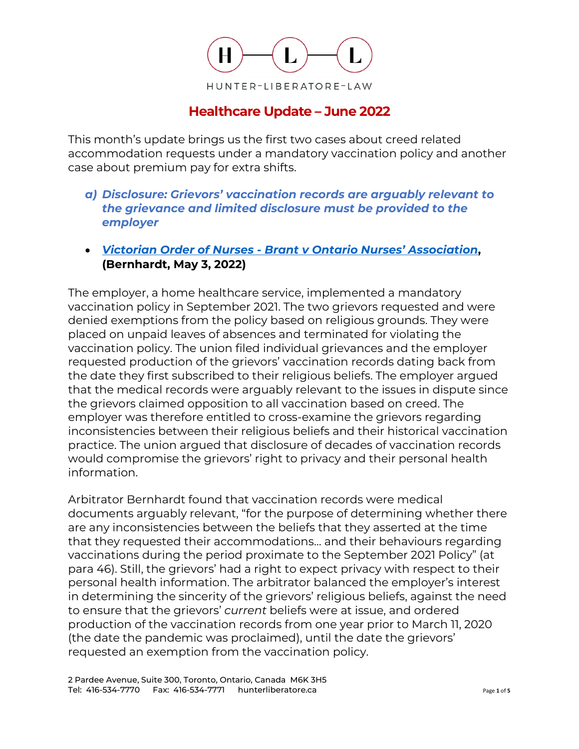

## **Healthcare Update – June 2022**

This month's update brings us the first two cases about creed related accommodation requests under a mandatory vaccination policy and another case about premium pay for extra shifts.

- *a) Disclosure: Grievors' vaccination records are arguably relevant to the grievance and limited disclosure must be provided to the employer*
- *[Victorian Order of Nurses Brant v Ontario Nurses' Association](https://canlii.ca/t/jnzg2)***, (Bernhardt, May 3, 2022)**

The employer, a home healthcare service, implemented a mandatory vaccination policy in September 2021. The two grievors requested and were denied exemptions from the policy based on religious grounds. They were placed on unpaid leaves of absences and terminated for violating the vaccination policy. The union filed individual grievances and the employer requested production of the grievors' vaccination records dating back from the date they first subscribed to their religious beliefs. The employer argued that the medical records were arguably relevant to the issues in dispute since the grievors claimed opposition to all vaccination based on creed. The employer was therefore entitled to cross-examine the grievors regarding inconsistencies between their religious beliefs and their historical vaccination practice. The union argued that disclosure of decades of vaccination records would compromise the grievors' right to privacy and their personal health information.

Arbitrator Bernhardt found that vaccination records were medical documents arguably relevant, "for the purpose of determining whether there are any inconsistencies between the beliefs that they asserted at the time that they requested their accommodations… and their behaviours regarding vaccinations during the period proximate to the September 2021 Policy" (at para 46). Still, the grievors' had a right to expect privacy with respect to their personal health information. The arbitrator balanced the employer's interest in determining the sincerity of the grievors' religious beliefs, against the need to ensure that the grievors' *current* beliefs were at issue, and ordered production of the vaccination records from one year prior to March 11, 2020 (the date the pandemic was proclaimed), until the date the grievors' requested an exemption from the vaccination policy.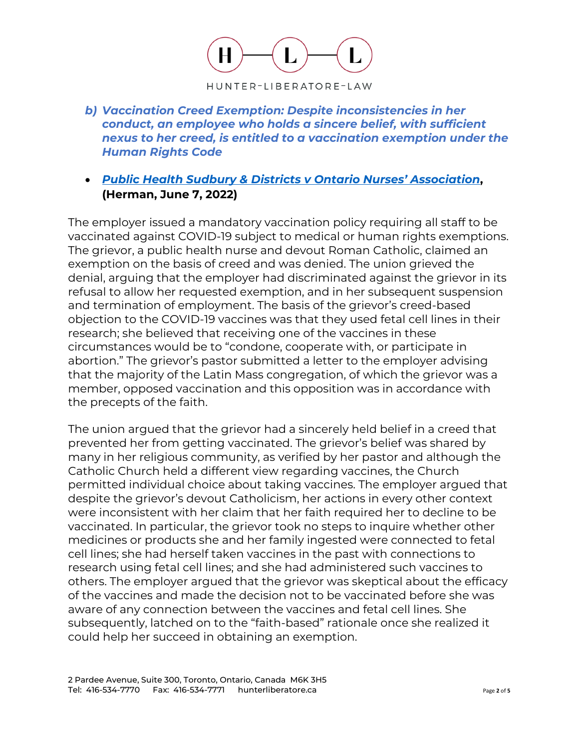

*b) Vaccination Creed Exemption: Despite inconsistencies in her conduct, an employee who holds a sincere belief, with sufficient nexus to her creed, is entitled to a vaccination exemption under the Human Rights Code* 

## • *Public Health Sudbury [& Districts v Ontario Nurses' Association](https://www.canlii.org/en/on/onla/doc/2022/2022canlii48440/2022canlii48440.html)***, (Herman, June 7, 2022)**

The employer issued a mandatory vaccination policy requiring all staff to be vaccinated against COVID-19 subject to medical or human rights exemptions. The grievor, a public health nurse and devout Roman Catholic, claimed an exemption on the basis of creed and was denied. The union grieved the denial, arguing that the employer had discriminated against the grievor in its refusal to allow her requested exemption, and in her subsequent suspension and termination of employment. The basis of the grievor's creed-based objection to the COVID-19 vaccines was that they used fetal cell lines in their research; she believed that receiving one of the vaccines in these circumstances would be to "condone, cooperate with, or participate in abortion." The grievor's pastor submitted a letter to the employer advising that the majority of the Latin Mass congregation, of which the grievor was a member, opposed vaccination and this opposition was in accordance with the precepts of the faith.

The union argued that the grievor had a sincerely held belief in a creed that prevented her from getting vaccinated. The grievor's belief was shared by many in her religious community, as verified by her pastor and although the Catholic Church held a different view regarding vaccines, the Church permitted individual choice about taking vaccines. The employer argued that despite the grievor's devout Catholicism, her actions in every other context were inconsistent with her claim that her faith required her to decline to be vaccinated. In particular, the grievor took no steps to inquire whether other medicines or products she and her family ingested were connected to fetal cell lines; she had herself taken vaccines in the past with connections to research using fetal cell lines; and she had administered such vaccines to others. The employer argued that the grievor was skeptical about the efficacy of the vaccines and made the decision not to be vaccinated before she was aware of any connection between the vaccines and fetal cell lines. She subsequently, latched on to the "faith-based" rationale once she realized it could help her succeed in obtaining an exemption.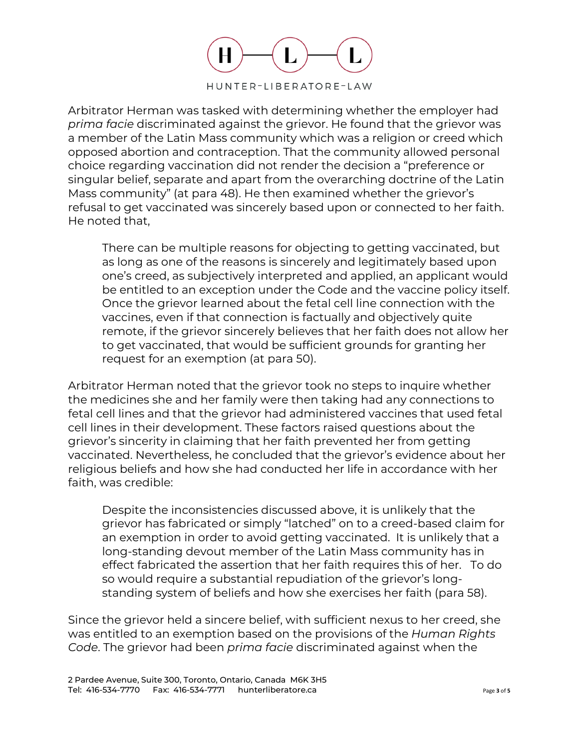

Arbitrator Herman was tasked with determining whether the employer had *prima facie* discriminated against the grievor. He found that the grievor was a member of the Latin Mass community which was a religion or creed which opposed abortion and contraception. That the community allowed personal choice regarding vaccination did not render the decision a "preference or singular belief, separate and apart from the overarching doctrine of the Latin Mass community" (at para 48). He then examined whether the grievor's refusal to get vaccinated was sincerely based upon or connected to her faith. He noted that,

There can be multiple reasons for objecting to getting vaccinated, but as long as one of the reasons is sincerely and legitimately based upon one's creed, as subjectively interpreted and applied, an applicant would be entitled to an exception under the Code and the vaccine policy itself. Once the grievor learned about the fetal cell line connection with the vaccines, even if that connection is factually and objectively quite remote, if the grievor sincerely believes that her faith does not allow her to get vaccinated, that would be sufficient grounds for granting her request for an exemption (at para 50).

Arbitrator Herman noted that the grievor took no steps to inquire whether the medicines she and her family were then taking had any connections to fetal cell lines and that the grievor had administered vaccines that used fetal cell lines in their development. These factors raised questions about the grievor's sincerity in claiming that her faith prevented her from getting vaccinated. Nevertheless, he concluded that the grievor's evidence about her religious beliefs and how she had conducted her life in accordance with her faith, was credible:

Despite the inconsistencies discussed above, it is unlikely that the grievor has fabricated or simply "latched" on to a creed-based claim for an exemption in order to avoid getting vaccinated. It is unlikely that a long-standing devout member of the Latin Mass community has in effect fabricated the assertion that her faith requires this of her. To do so would require a substantial repudiation of the grievor's longstanding system of beliefs and how she exercises her faith (para 58).

Since the grievor held a sincere belief, with sufficient nexus to her creed, she was entitled to an exemption based on the provisions of the *Human Rights Code*. The grievor had been *prima facie* discriminated against when the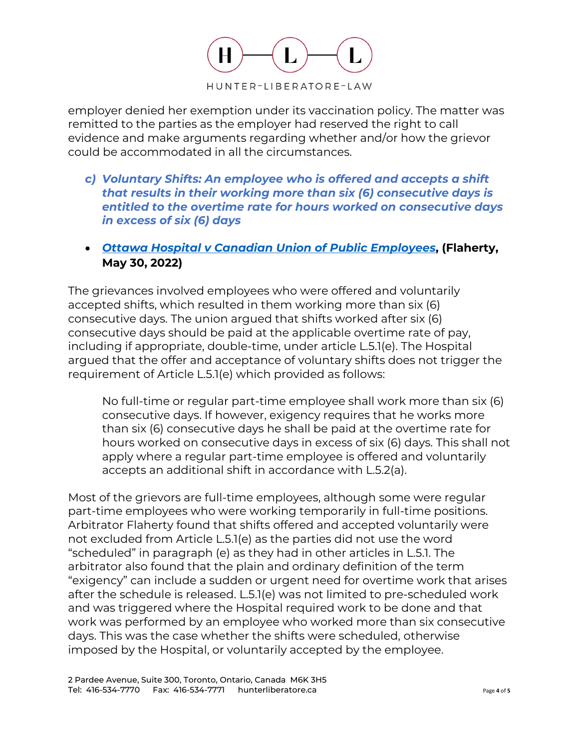

employer denied her exemption under its vaccination policy. The matter was remitted to the parties as the employer had reserved the right to call evidence and make arguments regarding whether and/or how the grievor could be accommodated in all the circumstances.

- *c) Voluntary Shifts: An employee who is offered and accepts a shift that results in their working more than six (6) consecutive days is entitled to the overtime rate for hours worked on consecutive days in excess of six (6) days*
- *[Ottawa Hospital v Canadian Union of Public Employees](https://canlii.ca/t/jpgzh)***, (Flaherty, May 30, 2022)**

The grievances involved employees who were offered and voluntarily accepted shifts, which resulted in them working more than six (6) consecutive days. The union argued that shifts worked after six (6) consecutive days should be paid at the applicable overtime rate of pay, including if appropriate, double-time, under article L.5.1(e). The Hospital argued that the offer and acceptance of voluntary shifts does not trigger the requirement of Article L.5.1(e) which provided as follows:

No full-time or regular part-time employee shall work more than six (6) consecutive days. If however, exigency requires that he works more than six (6) consecutive days he shall be paid at the overtime rate for hours worked on consecutive days in excess of six (6) days. This shall not apply where a regular part-time employee is offered and voluntarily accepts an additional shift in accordance with L.5.2(a).

Most of the grievors are full-time employees, although some were regular part-time employees who were working temporarily in full-time positions. Arbitrator Flaherty found that shifts offered and accepted voluntarily were not excluded from Article L.5.1(e) as the parties did not use the word "scheduled" in paragraph (e) as they had in other articles in L.5.1. The arbitrator also found that the plain and ordinary definition of the term "exigency" can include a sudden or urgent need for overtime work that arises after the schedule is released. L.5.1(e) was not limited to pre-scheduled work and was triggered where the Hospital required work to be done and that work was performed by an employee who worked more than six consecutive days. This was the case whether the shifts were scheduled, otherwise imposed by the Hospital, or voluntarily accepted by the employee.